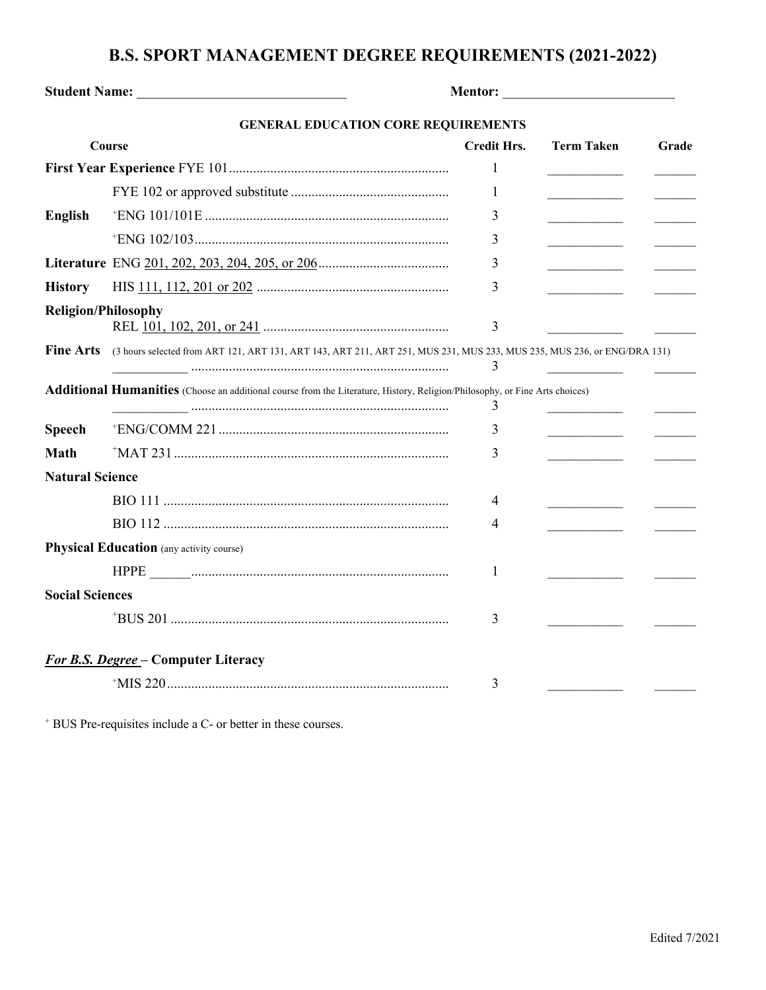## **B.S. SPORT MANAGEMENT DEGREE REQUIREMENTS (2021-2022)**

|                                                 |                                                                                                                             | <b>Mentor: __________________________________</b> |                                                                                                                                                                                                                                      |       |  |  |  |
|-------------------------------------------------|-----------------------------------------------------------------------------------------------------------------------------|---------------------------------------------------|--------------------------------------------------------------------------------------------------------------------------------------------------------------------------------------------------------------------------------------|-------|--|--|--|
|                                                 | <b>GENERAL EDUCATION CORE REQUIREMENTS</b>                                                                                  |                                                   |                                                                                                                                                                                                                                      |       |  |  |  |
| Course                                          |                                                                                                                             | <b>Credit Hrs.</b>                                | <b>Term Taken</b>                                                                                                                                                                                                                    | Grade |  |  |  |
|                                                 |                                                                                                                             | 1                                                 |                                                                                                                                                                                                                                      |       |  |  |  |
|                                                 |                                                                                                                             | 1                                                 |                                                                                                                                                                                                                                      |       |  |  |  |
| English                                         |                                                                                                                             | 3                                                 | <u> 1989 - Jan Sterlingen und der Sterlingen und der Sterlingen und der Sterlingen und der Sterlingen und der Sterlingen und der Sterlingen und der Sterlingen und der Sterlingen und der Sterlingen und der Sterlingen und der </u> |       |  |  |  |
|                                                 |                                                                                                                             | 3                                                 |                                                                                                                                                                                                                                      |       |  |  |  |
|                                                 |                                                                                                                             | 3                                                 |                                                                                                                                                                                                                                      |       |  |  |  |
| <b>History</b>                                  |                                                                                                                             | 3                                                 |                                                                                                                                                                                                                                      |       |  |  |  |
| <b>Religion/Philosophy</b>                      |                                                                                                                             | 3                                                 |                                                                                                                                                                                                                                      |       |  |  |  |
| <b>Fine Arts</b>                                | (3 hours selected from ART 121, ART 131, ART 143, ART 211, ART 251, MUS 231, MUS 233, MUS 235, MUS 236, or ENG/DRA 131)     | 3                                                 |                                                                                                                                                                                                                                      |       |  |  |  |
|                                                 | Additional Humanities (Choose an additional course from the Literature, History, Religion/Philosophy, or Fine Arts choices) |                                                   |                                                                                                                                                                                                                                      |       |  |  |  |
|                                                 |                                                                                                                             | 3                                                 |                                                                                                                                                                                                                                      |       |  |  |  |
| <b>Speech</b>                                   |                                                                                                                             | 3                                                 |                                                                                                                                                                                                                                      |       |  |  |  |
| Math                                            |                                                                                                                             | 3                                                 |                                                                                                                                                                                                                                      |       |  |  |  |
| <b>Natural Science</b>                          |                                                                                                                             |                                                   |                                                                                                                                                                                                                                      |       |  |  |  |
|                                                 |                                                                                                                             | 4                                                 |                                                                                                                                                                                                                                      |       |  |  |  |
|                                                 |                                                                                                                             | 4                                                 |                                                                                                                                                                                                                                      |       |  |  |  |
| <b>Physical Education</b> (any activity course) |                                                                                                                             |                                                   |                                                                                                                                                                                                                                      |       |  |  |  |
|                                                 |                                                                                                                             | 1                                                 |                                                                                                                                                                                                                                      |       |  |  |  |
| <b>Social Sciences</b>                          |                                                                                                                             |                                                   |                                                                                                                                                                                                                                      |       |  |  |  |
|                                                 |                                                                                                                             | 3                                                 |                                                                                                                                                                                                                                      |       |  |  |  |
|                                                 | For B.S. Degree - Computer Literacy                                                                                         |                                                   |                                                                                                                                                                                                                                      |       |  |  |  |
|                                                 |                                                                                                                             | 3                                                 |                                                                                                                                                                                                                                      |       |  |  |  |

<sup>+</sup> BUS Pre-requisites include a C- or better in these courses.